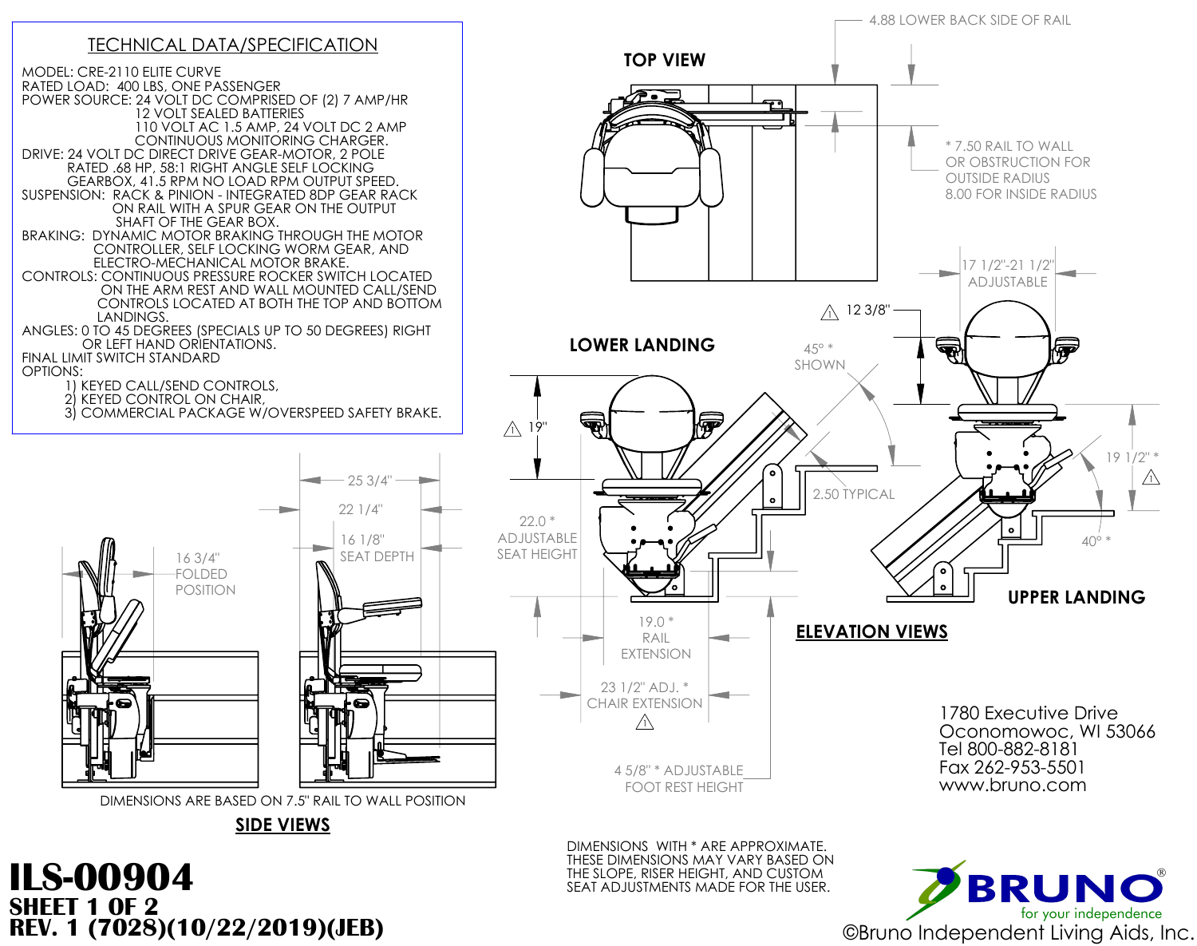

**SHEET 1 OF 2 REV. 1 (7028)(10/22/2019)(JEB)** ©Bruno Independent Living Aids, Inc.

THESE DIMENSIONS MAY VARY BASED ON<br>THE SLOPE, RISER HEIGHT, AND CUSTOM

**BRUNC** for your independence